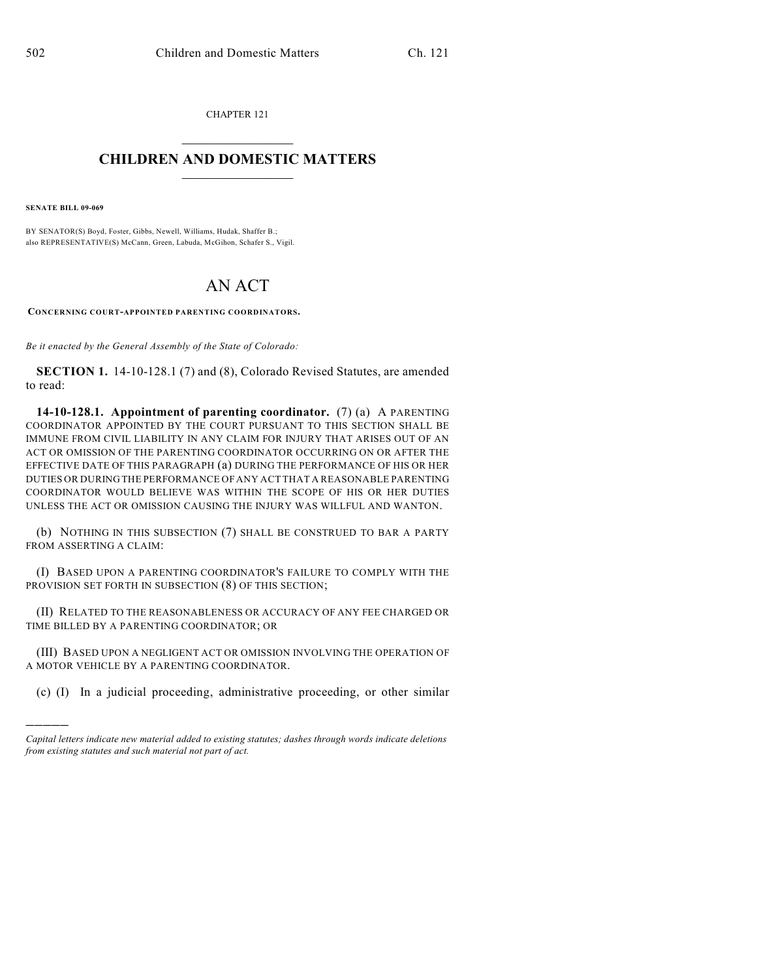CHAPTER 121  $\overline{\phantom{a}}$  . The set of the set of the set of the set of the set of the set of the set of the set of the set of the set of the set of the set of the set of the set of the set of the set of the set of the set of the set o

## **CHILDREN AND DOMESTIC MATTERS**  $\_$

**SENATE BILL 09-069**

)))))

BY SENATOR(S) Boyd, Foster, Gibbs, Newell, Williams, Hudak, Shaffer B.; also REPRESENTATIVE(S) McCann, Green, Labuda, McGihon, Schafer S., Vigil.

## AN ACT

**CONCERNING COURT-APPOINTED PARENTING COORDINATORS.**

*Be it enacted by the General Assembly of the State of Colorado:*

**SECTION 1.** 14-10-128.1 (7) and (8), Colorado Revised Statutes, are amended to read:

**14-10-128.1. Appointment of parenting coordinator.** (7) (a) A PARENTING COORDINATOR APPOINTED BY THE COURT PURSUANT TO THIS SECTION SHALL BE IMMUNE FROM CIVIL LIABILITY IN ANY CLAIM FOR INJURY THAT ARISES OUT OF AN ACT OR OMISSION OF THE PARENTING COORDINATOR OCCURRING ON OR AFTER THE EFFECTIVE DATE OF THIS PARAGRAPH (a) DURING THE PERFORMANCE OF HIS OR HER DUTIES OR DURING THE PERFORMANCE OF ANY ACT THAT A REASONABLE PARENTING COORDINATOR WOULD BELIEVE WAS WITHIN THE SCOPE OF HIS OR HER DUTIES UNLESS THE ACT OR OMISSION CAUSING THE INJURY WAS WILLFUL AND WANTON.

(b) NOTHING IN THIS SUBSECTION (7) SHALL BE CONSTRUED TO BAR A PARTY FROM ASSERTING A CLAIM:

(I) BASED UPON A PARENTING COORDINATOR'S FAILURE TO COMPLY WITH THE PROVISION SET FORTH IN SUBSECTION (8) OF THIS SECTION;

(II) RELATED TO THE REASONABLENESS OR ACCURACY OF ANY FEE CHARGED OR TIME BILLED BY A PARENTING COORDINATOR; OR

(III) BASED UPON A NEGLIGENT ACT OR OMISSION INVOLVING THE OPERATION OF A MOTOR VEHICLE BY A PARENTING COORDINATOR.

(c) (I) In a judicial proceeding, administrative proceeding, or other similar

*Capital letters indicate new material added to existing statutes; dashes through words indicate deletions from existing statutes and such material not part of act.*